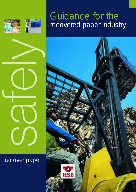

### Guidance for the recovered paper industry



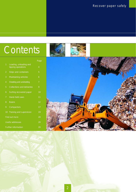### Contents

|                            |                                              | Page           |
|----------------------------|----------------------------------------------|----------------|
| 1                          | Loading, unloading and<br>tipping operations | $\overline{4}$ |
| 2                          | Skips and containers                         | 5              |
| 3                          | Maintaining vehicles                         | 6              |
| 4                          | Sheeting and unsheeting                      | 7              |
| 5                          | <b>Collections and deliveries</b>            | 9              |
| 6                          | Sorting recovered paper                      | 10             |
| 7                          | Hand-held saws                               | 11             |
| 8                          | <b>Balers</b>                                | 12             |
| 9                          | Compactors                                   | 17             |
| 10                         | Training and supervision                     | 19             |
| Find out more              |                                              | 20             |
| Useful addresses           |                                              | 20             |
| <b>Further information</b> |                                              | 20             |

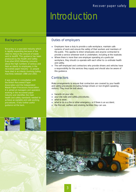### Introduction

#### **Background**

Recycling is a specialist industry which is rapidly expanding because of the need to reduce the amount of waste sent to landfill. This guidance has been produced by the Health and Safety Executive (HSE) following concerns about the high numbers of serious and fatal accidents to employees in the recovered paper industry - 11 people have died in accidents involving baling machines between 1988 and 2002.

It was written in consultation with the British Recovered Paper Association and the Independent Waste Paper Processors Association. It is aimed at managers and operators working in the recovered paper industry and identifies the main health and safety standards needed to achieve acceptable and safe working procedures. It lists further useful guidance at the back.

#### Duties of employers

- Employers have a duty to provide a safe workplace, maintain safe systems of work and ensure the safety of their workers and members of the public. This applies to direct employees and anyone contracted to provide a service wherever work is undertaken, including at the roadside.
- Where there is more than one employer operating at a particular workplace, they should co-operate with each other to co-ordinate health and safety.
- The self-employed and contractors who provide drivers and vehicles have a responsibility for the services they supply and should also be aware of this guidance.

#### **Contractors**

Make arrangements to ensure that contractors are covered by your health and safety procedures (including foreign drivers or non-English-speaking visitors). They must be told about:

- **hazards on your site;**
- your site rules and safety procedures;
- what to wear;
- what to do in a fire or other emergency, or if there is an accident;
- **the first-aid, welfare and smoking facilities they can use.**



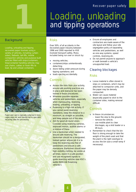#### Recover paper safely

# **1 1** Loading, unloading<br>and tipping operations and tipping operations

#### **Background**

Loading, unloading and tipping recovered paper involves using a variety of vehicles, including curtainsiders, flatbeds, tail-lifts, mobile compaction vehicles and purpose-built vehicles fitted with skips/containers. Skip/container handling vehicles may use chains, cables or hook-lifts to load, tip and unload containers.



*Paper and card is typically collected in bins, cages skips etc and transferred to specialist recycling sites for processing*

#### *Risks*

Over 50% of all accidents in the recovered paper industry between 1996 and 2000 reported to HSE involved transport safety. Many included being run over or struck by:

- **•** moving vehicles;
- containers/skips unintentionally detaching;
- doors failing under pressure during tipping operations; and
- loads ejecting accidentally.

#### *Controls*

- Assess the risks from your activity, ensure safe working practices are in place and everyone has been trained in those procedures.
- Wherever possible separate vehicles and pedestrians, especially when manoeuvring, reversing, loading, unloading, or tipping.
- Reversing is a high-risk activity. If you cannot avoid reversing operations, keep the distance to a minimum, as straight as possible, and keep people out of the area.
- Aim for good all-round vision. Consider using reversing cameras, improved mirrors, audible alarms or a mixture of these.
- Use a banksman when needed to ensure safe reversing. The banksman should be a designated, trained person whose job it is to keep the reversing area free of pedestrians and ensure a safe manoeuvre. Banksmen should wear high-visibility clothing, be visible at all times, stand in a safe position and use recognised signals to guide reversing vehicles (see HSE's leaflet INDG148 *Reversing* vehicles<sup>1</sup>).
- Ensure all employees and contractors are made aware of the site layout and follow your site segregation policy of separating vehicles and pedestrians, as well as one-way systems, speed controls, reversing etc.
- Do not permit anyone to approach or walk beneath a vehicle's unsupported load.

#### Clearing blockages

#### *Risks*

- Loose material is often stored in skips or containers, which may be attached to compactor units, and the paper may be densely compacted.
- Water can cause material (especially paper) to stick to the container sides, making removal difficult.

- In these circumstances:
	- lower the skip to the ground;
- remove the vehicle;
- use mobile plant to clear blockages, eg a skid loader or a lift truck.
- Remember to check that the bin floor is strong enough to take the weight of the plant used and that the plant is the right size/type to access the bin (use a small ramp if necessary).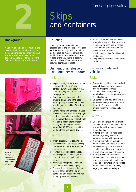

### **2** Skips and containers

#### **Background**

A variety of skips and containers are used in the industry. These vary in size and condition and many serious and fatal accidents have been caused by poor maintenance or the failure of bin-locking mechanisms.



**Typical**  $rest$ *restraining system fitted to container, and safety* s tickers

#### **Shunting**

'Shunting' is also referred to as 'jogging' and is the practice of reversing vehicles and braking hard to shock or jog free blocked material from skips. Avoid this as it can cause uncontrolled release of the bin, due to excessive wear and failure of the components securing containers in place.

#### Unintentional release of skip container rear doors

#### *Risks*

- Paper puts significant stress on the door and door lock of skip containers, which can result in the door springing open or the load being ejected.
- Some older designs require the driver to stand behind the door while opening it, which places them in a dangerous position if the door flies open.
- Various restraining devices are used to secure doors open, including rigid hook and eye, chain fastening, or 'non-captive' locking devices. Single rear doors weigh approximately 500 kg and tipping with the bin inclined at 50-60° puts a significant load on these restraining devices.

### *Controls*

- Where possible, consider single-door containers with side-release locking mechanisms to reduce the number of moving parts.
- Maintain the locks, door handles, restraining devices and hinges and ensure they are adequate for the purpose.
- **Never use baling wire or string to** secure bin doors during tipping. Ensure drivers can operate the door locks in safety from the side of containers and that doors will not spring open when released.
- Instruct and train drivers/operators to regularly inspect bins, doors and restraining devices and to report faults. You must check faults are remedied and provide a maintenance regime for skips and containers.
- Keep simple records of the checks carried out.

#### Runaway loads and vehicles

#### *Risks*

- Several fatal accidents have involved skip/bulk loader runaways during loading or tipping activities.
- The handbrake facility on many vehicles is designed to operate on the rear wheels only.
- On some designs fully extending the vehicle stabiliser jacklegs may raise the vehicle's rear wheels off the ground, rendering the handbrake in effective.

- Consider fitting four-wheel braking systems or other effective means to ensure the vehicle cannot move during loading.
- Where practicable, fit flat plates instead of jackleg wheels to increase contact with the ground.
- Where manufacturers provide wheel chocks use these at all times when stationary. Information on chocking should be provided with the vehicle operating instructions.
- Instruct drivers to ensure the wheels remain in contact with the ground when operating jacks and to use chocks where provided (see HSE's leaflet INDG312 *Parking* large goods vehicles safely<sup>2</sup>).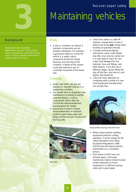Recover paper safely



## **3** Maintaining vehicles

#### **Background**

Heavy plant and equipment deteriorates with use. Where safety critical components could fail causing injury, a formal, planned maintenance system must be in place.

#### *Risks*

● A skip or container can detach if hydraulic components are not properly maintained. For example, a gooseneck fitted on a hook-lift vehicle is a safety critical component during the raising, lowering, and securing of the container. A failure of this system could lead directly to loss of controlled movement of the waste skip.

#### *Controls*

- Under road traffic law you are required to maintain vehicles in a road worthy condition.
- You should have an inspection and maintenance schedule to identify potential failures in critical components before they fail. Consult the vehicle/equipment manufacturers for details.
- **Ensure the schedule includes** visual examination of hydraulic systems, particularly pipes and hoses and the security of rams and moving parts.



*Bent ram*

- Check the cables on cable-lift vehicles, change them in pairs if defects are found and change them routinely at specified intervals.
- $\bullet$  Consider testing the tipping mechanism using a fully loaded skip (this must only be carried out in a safe area) to check for ram creep, fluid leakage from the hydraulic hose and fittings, and other defects. Carry this out at different stages, eg just lifting the skip off the floor, part way on, part tipped, fully tipped etc.
- Check for hook deformity by comparing with a profile of a new hook (equipment manufacturers can provide this).



*Hook profile showing stretched hook*

- Where skip/container handling equipment performs a lifting operation, it will be subject to the Lifting Operations and Lifting Equipment Regulations 1998 (LOLER) and will require periodic examination by a competent person.
- Even where LOLER does not formally apply, a thorough maintenance regime should include similar measures to ensure equipment is in efficient working order and in good repair.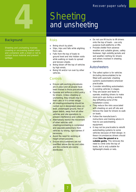

# **4** Sheeting<br>and unshee and unsheeting

#### **Background**

Sheeting and unsheeting involves covering or uncovering loaded skips contain loose material and prevent spillage.

#### *Risks*

- Being struck by plant.
- Slips, trips and falls while alighting from cabs.
- Falls from the top of loads to ground level and into hidden voids while walking on loads to spread and tension sheets.
- Being blown off the top of vehicles by high winds.
- Being hit and/or run over by other vehicles.

#### *Controls*

- **Ensure safe working procedures** are in place and all people have been trained in those procedures.
- Operate and enforce a strict policy for drivers. Unless sheeting or unsheeting, they should stay in their cabs or in a driver refuge.
- All sheeting/unsheeting should be carried out in designated areas on level, undamaged ground, free of paper debris, away from all other vehicles and site operations to prevent interference and collisions.
- **Alternatively restrict the movement** of other vehicles until sheeting/unsheeting is completed and separate pedestrians from vehicles by strong, rigid barriers if necessary.
- Avoid the need for working at height where possible.
- **Ensure bins/containers are not** overfilled above the top and sides and the contents are evenly distributed.
- Do not use lift trucks to lift drivers onto the top of loads - use only purpose-built platforms or lifts.
- Provide shelter from adverse weather and suitable gloves, safety footwear, high-visibility jackets and wet weather clothing for drivers and others involved in sheeting operations.

#### **Autosheeters**

- The safest option is for vehicles (including demountables) to be fitted with automatic sheeting systems (autosheeters) wherever practicable.
- Consider retrofitting autosheeters to existing vehicles in stages.
- They are easier and faster to operate, enabling drivers to make more pick-ups during a working day (offsetting some of the installation costs).
- They reduce the risks associated with sheeting on and off site and remove the need for drivers to walk on loads.
- Follow the manufacturer's instructions and training advice in how to use autosheeting equipment.
- It may not be practicable to retrofit autosheeting systems to some vehicles because of their design. In these circumstances drivers should sheet from the ground or a **suitable gantry**. This removes the need to climb onto the top of loads, but is only suitable for lightweight sheets or nets.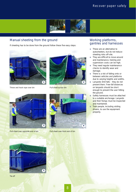

#### Manual sheeting from the ground

If sheeting has to be done from the ground follow these five easy steps:



*Throw and hook rope over bin Pull sheet across bin*





*Pull sheet over opposite end of bin*



*Pull sheet over front end of bin*

#### Working platforms, gantries and harnesses

- These are an alternative to autosheeters, but do not reduce sheeting risks off-site.
- They are difficult to move around and maintenance, training and supervision costs can be high.
- They need regular maintenance checks to identify wear and damage.
- There is a risk of falling onto or between vehicles and platforms due to varying heights and widths.
- Lanyards limit falls they do not prevent them. Free-fall distances on lanyards should be short enough to prevent the user hitting the ground.
- Safety harnesses must be attached to a suitable anchorage. Lanyards and their fixings must be inspected and maintained.
- **Train people, including visiting** drivers, to use the equipment properly.



*Tie off*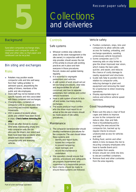

### **5** Collections and deliveries

#### **Background**

Specialist companies exchange skips, containers and compactor units on retail and other sites so that paper and cardboard can be recycled.

#### Bin siting and exchanges

#### *Risks*

- Retailers may position waste compactor units and bins well away from their 'selling activities' in awkward spaces, jeopardising the safety of drivers, members of the public and site employees.
- Store staff may not be trained on the specific hazards and risks associated with these containers and exchanges.
- Changing skips, containers or compactor units is complicated, time consuming and involves repetitive movements.
- **HSE** is aware of incidents where adults and children have been found in skips. **Check before removing the skip**.
- Drivers are often forced to reverse blind while manoeuvring empty bins onto compactor units (the bin obscures the driver's rear vision) and there have been fatal accidents when people have stood between compactor units and reversing vehicles.



#### *Part of a bin-exchange operation*

#### *Controls*

#### Safe systems

- Whoever controls skip-collection areas (ie the store management or the site owner), in conjunction with the skip provider, should assess the risk of the activity to ensure safe working practices are in place and train everyone in those procedures. Record, review and update training reqularly.
- It is essential to segregate pedestrians and vehicles.
- A safe system of work should set out bin-exchange procedures, clear roles and responsibilities for all staff concerned, and how to separate pedestrians from vehicles and control vehicle movement.
- Have a safe system of work to lockoff and isolate machinery during exchanges.
- The waste producer must confirm who the driver must report to on arrival at the site and drivers should be made aware of site safety procedures.

#### **Maintenance**

- **The compactor owner/provider should** develop maintenance procedures for the compactor. The user should follow these systems and:
	- identify and report faults;
	- isolate the compactor to prevent tampering;
	- repair damage; and
	- record the maintenance undertaken.
- Site operators should ensure that policies, procedures and safeguards are properly implemented and supervised by a responsible person.
- Spot checks should be made to ensure these systems are followed.

#### Vehicle safety

- Position containers, skips, bins and compactors to allow vehicles safe access for loading, unloading, and exchange operations, avoiding unnecessary vehicle movement.
- Some companies use CCTV reversing aids on skip lorries to give the driver improved rear vision, which makes the task safer. quicker, and easier, and reduces the chance of costly damage to nearby equipment and structures.
- Guide rails help to position bins in relation to compactor units, reducing damage to plant and equipment and removing the need for a banksman to direct reversing operations.
- Display appropriate signs or notices and enforce vehicle speed restrictions.

#### Good housekeeping

- Make sure the area is clear of food cages and debris to improve access to the compactor and reduce slips, trips and falls.
- Have a housekeeping policy covering the area around the compactor bin, backed up by regular checks to ensure unobstructed access for vehicles and staff.
- Rotting food, vermin and other debris in bins increases the risk to recycling company employees who have to handle (hand-pick) recyclables from waste.
- Drivers should not climb into bins to decant overfilled containers.
- Remove food and other contraries from the area regularly.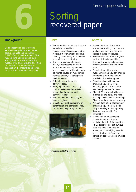

### **6** Sorting recovered paper

#### **Background**

Sorting recovered paper involves separating recyclables (newspaper, card, pamphlets and magazines (PAMS)) from unusable material. This may be done using purpose-built sorting stations (materials recycling facilities (MRFs)), conveyors, or sorting on the floor. The method chosen depends on the material to be sorted, its source and the quantity involved.

#### *Risks*

- People working on picking lines are especially vulnerable to musculoskeletal injuries caused by repetitive movement and continual bending over conveyors to remove recyclables and contraries.
- The risk of exposure to clinical waste, decomposing food and loads contaminated by vermin or insects may lead to ill health, such as injuries caused by hypodermic needles (sharps) or Leptospirosis (Weil's disease).
- **Entanglement with moving** conveyor belts.
- Slips, trips and falls caused by poor housekeeping (especially accumulated paper around conveyor feeds).
- Puncture wounds caused by hand tools and glass.
- Inhalation of dust, particularly on construction and demolition lines, can result in respiratory problems.



*Moving material to the conveyor*

- $\bullet$  Assess the risk of the activity, ensure safe working practices are in place and everyone has been trained in those procedures.
- Reinforce the importance of good hygiene, ie hands should be thoroughly washed before eating, drinking, smoking or going to the toilet.
- Provide sharps bins to store hypodermics until you can arrange safe removal from the site by a specialist disposal company.
- Provide pickers with personal protective equipment (PPE), including gloves, high-visibility vests and protective footwear.
- Check PPE is worn at all times as directed by site policy and rules and regularly inspect it for damage. Clean or replace it when necessary.
- Arrange 'face fitting' of respiratory protective equipment (RPE) for people working on dusty picking lines and ensure all PPE is compatible.
- Maintain good housekeeping standards and practices to minimise the risk of slips and trips. HSE's guidance booklet HSG155 *Slips and trips: Guidance for employers on identifying hazards and controlling risks*<sup>3</sup> provides general guidance on good practice solutions.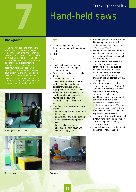## **7** Hand-held saws

#### **Background**

Hand-held circular saws are used to split or 'slab off' paper broke from large reels, separating paper from the central core (if present), and aid baling by reducing the reel size. Methods include 'free hand' splitting, where the operator holds a circular saw to complete the task and 'fixed frame' splitting, where a circular saw is dust extraction) and pushed along a rail by the operator at the desired height. Operators often stand on top of cut paper to continue splitting the reel, creating instability and a risk of falls.





*Control panel Reel cutting*

#### *Risks*

- Lacerated legs, feet and other limbs from contact with the rotating blade.
- Falls.

- If reel splitting is done regularly, replace 'free hand' cutting with 'fixed frame' saws.
- Design frames to hold reels firmly in place.
- **•** If 'free hand' splitting is unavoidable, provide uncluttered work areas, high standards of operator training, supervision appropriate to the risk and written safe systems of work setting out how to handle and secure reels, how to use the saw, and encouraging regular removal of waste.
- 'Free hand' and 'fixed frame' saws should:
	- have a spring-loaded, retractable blade guard;
	- operate at 110 volts supplied via a transformer centre tapped to earth;
- have regular maintenance checks of the saw, blade and electrical supply lead. standards of housekeeping. *A well-guarded tunnel saw*



- Issue operators with suitable PPE including gloves/gauntlets, and eye and hearing protection. Ensure all PPE is compatible.
- Ensure operators are aware that protective equipment may help control risks to health, such as inhalation of dust and hearing loss, and some safety risks, eg eye damage, but will not provide protection against contact with the rotating blade.
- Where there is a dust problem, respond to it under the Control of Substances Hazardous to Health Regulations 2002 (COSHH) hierarchy, ie elimination, substitution, control and personal protection. See HSE's leaflet INDG136(rev2) *COSHH a brief guide to the regulations: What you need to know about the Control of Substances Hazardous to Health Regulations 2002 (COSHH*).4
- **•** You may need to provide **both** local exhaust ventilation and respiratory protective equipment to fully control exposure.
- Provide training and maintain good

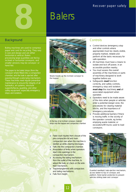

#### **Background**

Baling machines are used to compress paper and card for recycling. They vary in size and design and are either horizontal or vertical. Balers processing large quantities are fed by inclined or horizontal conveyors, and smaller versions may be conveyor- or hand-fed.

The paper to be baled drops (from the conveyor where fitted) into a compaction chamber, and the bale is ejected after passing through a wire-tying mechanism. These machines need regular preventive maintenance to ensure the integrity of all hydraulics, air systems, structural supports/fascia, guarding, and other safety equipment, especially emergency stops and isolators.



*Waste travels up the inclined conveyor to the hopper*



*At the top of an inclined conveyor, material d rops into the hopper and compaction chamber*

#### *Risks*

- **Fatal crush injuries from closure of the** pre-compaction lid and main compaction ram when the machine is started up while clearing blockages.
- **Falls into the compaction chamber.**
- **Amputation of limbs when operators** reach into openings in the compaction mechanism.
- Accessing the baling mechanism from the outlet of the machine, to adjust the bale, or check on the wirefeed mechanism.
- **Trap/entanglement with compactors** and baling mechanisms.
- Falls from height.

- Control devices (emergency stop and other controls where appropriate) must be clearly visible, properly marked, reliable and perform all the tasks necessary for safe operation.
- All machines must have a means to isolate and lock off power, in an accessible position nearby.
- You must assess the overall assembly of the machinery or parts of machinery designed to work together before use.
- Safeguards must function correctly, and safety controls, emergency stop and isolators must stop the machinery and all associated equipment when operated.
- Operators need to be made aware of the risks when people or vehicles enter a potential danger zone, the procedures for clearing material blocks, and the importance of emergency procedures.
- Provide additional barriers if there is moving traffic in the vicinity of the operator console, eg lorries emptying waste material, or excavators/lift trucks used to load conveyors.



Guarded needlepit, bale ejection mechanism, *access ladder to top of conveyor, and* platform. Note barrier protection to prevent *vehicles striking baler and conveyor*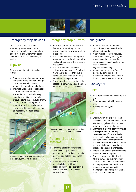

#### Emergency stop devices

Install suitable and sufficient emergency stop devices to the conveyor and baler. Consider where people work and where they could become trapped on the conveyor system.

#### *Tripwires*

Tripwires may be in the following forms:

- A single tripwire hung centrally up the length of the conveyor with pull cords suspended at regular intervals that can be reached easily.
- Tripwires arranged like 'goalposts' over the conveyor fitted with suspended pull cords (for easy operation) positioned at regular intervals along the conveyor length.
- A pull cord fitted along the top edge of both side panels on the conveyor (additional pull cords may be necessary for deep-sided conveyors).



*Pull cord at both sides and across the top of the conveyor feeding the baler*

#### *Emergency stop buttons*

- Fit 'Stop' buttons to the external framework where they can be quickly reached by anyone working in the area.
- The distance between emergency stops and pull cords will depend on the layout and size of the machine and conveyor.
- The recommended distance between such devices is 3 m but it may need to be less than this in some circumstances, eg where a very short conveyor is used.
- **Emergency stops need to be easily** accessible from every place a person works and is likely to be working.



**Emergency stop buttons at easily accessible** *locations fitted to the external framework*

#### *Personnel detection systems*

- Personnel detection systems are designed to stop equipment if someone wearing a signal emitter is identified or a detector recognises body heat.
- **These are software devices and** should only be considered as additional safeguards - they should **not** be used instead of emergency stop devices.

#### Nip guards

- Eliminate hazards from moving parts of machinery using fixed or interlocked guards.
- $\bullet$  Where regular access is required, provide interlocked guards, eg for inspection ports, covers or doors containing adjustment mechanisms such as conveyor alignment/tensioning.
- Interlocks may take the form of electric switching and/or a mechanical 'trapped key' system fit both types where appropriate.

#### Conveyors

#### *Risks*

- **Falls from inclined conveyors to the** ground.
- **Trap/entanglement with moving** parts.
- **Walking on conveyors.**

- $\bullet$  Enclosures at the top of inclined conveyors should deter anyone from intentionally gaining direct access onto the conveyor feed or baler.
- **Entry onto a moving conveyor must not be permitted under any** circumstances. If it is absolutely necessary to walk up an inclined conveyor, the conveyor and baling machine **must** be isolated, locked off and a safety harness must be used, attached to a suitable anchorage.
- Erect a fixed access platform where regular access is required.
- Some conveyors are fitted with hold-to-run, or limited movement controls. These must only be used for the purposes intended by the manufacturer and by qualified maintenance engineers following a permit-to-work scheme.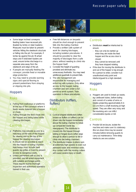

- Some larger inclined conveyors feeding balers have recessed pits (loaded by lorries or steer loaders). Measures must be taken to prevent vehicles hitting the steelwork structure or falling into the pit. For example, if lorries tip against the pit, fit wheel stops and if skid/steer loaders are used, ensure lorries discharge in a separate area away from the steelwork and edge of the pit.
- If people are manually feeding the conveyor, provide fixed or movable edge protection.
- You may need to provide warning signs and special flooring to prevent pedestrians from straying or slipping into pits.

#### **Hoppers**

#### *Risks*

- Falling from walkways or platforms at the top of the conveyor where it feeds waste material into a hopper or chute.
- Falling through the feed chute into the hopper and being baled while clearing blockages.

#### *Controls*

- Platforms may provide access to a hatchway at the side of the hopper for viewing and to the top of the hopper for clearing blockages.
- It should not be possible to reach into the hopper or baling chamber. Hatchways must include fixed guards (eg grilles or bars) to prevent access to dangerous parts.
- Unless permanent safe access is provided, use fall-arrest equipment with suitable anchorage points. These require routine thorough inspection and authorised operators trained in their use.
- Free-fall distances on lanyards should be short enough to prevent falls into the baling chamber.
- Provide a written safe system of work for clearing blockages, including isolation procedures. It should be possible to clear the majority of blockages from a safe place, without needing to climb into the hopper itself.
- $\bullet$  Consider the height of guarding provided and eliminate any unnecessary footholds. You may need additional guardrails to prevent falls.
- The site management are responsible for managing and enforcing safe systems. Only allow access to the hopper, baling chamber and ram under a full permit-to-work system. Train operators in these procedures.

#### Distributors (rufflers, fluffers)

#### *Risks*

- Conical shaped distributors (often known as fluffers or rufflers) can be driven into the hopper immediately above the baling chamber to break up compacted waste (eg newspapers). The distributor is moved into the hopper through sliding or hinged doors (often large enough to allow a person to fall or climb into the baling chamber).
- The distributor blades (cutters) spin at extremely high speeds to even out awkward loads and minimise voids. Any contact with the moving cutters will cause severe injury or death.

#### *Controls*

- **Distributors must be interlocked to** ensure:
	- they can only be started up when they are inside the feed hopper and the access door is closed:
	- they cannot be removed until they have stopped rotating.
- If the door for moving the distributor in and out of the hopper is big enough for a person to enter, consider it an unauthorised entry point and interlock/guard to a high standard.

#### **Hoggers**

#### *Risks*

Hoggers are used to break up waste, eg cardboard tubes, before baling and consist of a series of arms or blades projecting approximately 6 in (15 cm) from a shaft revolving at high speed. They are often very noisy and the revolving arm can inflict considerable injuries or kill.

#### *Controls*

Provide full enclosure, isolate the machine and make sure it is stationary (the run-down time may be several minutes) before removing guards to carry out maintenance. Time-delay interlocks are one solution.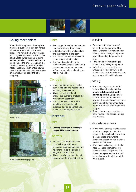

#### Baling mechanism

When the baling process is complete, material is pushed out through various wire strands, which form the bale straps. The wire is held under tension and progressively unwinds around the baled waste. While the bale is being ejected, a dial or counter measures its length. Once the pre-set length of the bale is achieved, a series of profiled hooks (needles), driven under power, pass through the bale, twist and makeoff the wire, completing the bale strapping.



*Baled paper*



*A strapped bale being ejected*

#### *Risks*

- Shear traps formed by the hydraulic ram or electrically driven motor.
- Entanglement in the rotating shaft and the meshing of the gears.
- The needles, as well as the risk of entanglement with the wires.
- The ram. Operators trying to remove broken wires or debris from needle channels in the ram have suffered amputations when the ram has moved back.

#### *Controls*

- Make sure quards cover the full path of the ram and needle stroke including the needle pit.
- Always provide fixed and interlocked guards to enclose the wire-forming assembly.
- The discharge of the machine should also include tunnel guarding, to stop operators being able to reach dangerous parts.

#### **Blockages**

#### *Risks*

**Clearing blockages is the single biggest killer in the industry.**

#### *Controls*

- Pre-sort selected material into compatible types to avoid blockages during compaction and help standardise the size and weight of finished bales.
- Always evenly load material onto the conveyor to prevent build-up.

#### Reversing

- Consider installing a 'reverse' facility to feed conveyors. This allows withdrawal of material from the top of the conveyor to ground level, eliminating the potential for falls.
- Take care to prevent dislodged material from falling onto people.
- Note that reversing facilities are unsuitable for slat conveyors as material can stick between the slats and cause additional blockages.

#### Rodding

- Some blockages can be rodded out quickly and safely, **but this should only be carried out by trained operators** using a pushstick or other appropriate tool, inserted through a barred hatchway at the side of the hopper **as long as** there is no risk of falling into the hopper.
- Access to dangerous machinery parts must not be possible during this process.

#### Safe systems of work

- A few blockages may require access onto the conveyor and into the hopper or baling chamber, resulting in long periods of downtime. Employers should provide a written system for this work.
- Where access is required into the hopper, baling chamber or ram then the detailed requirements of the written system of work should be backed up with a full permit-towork system.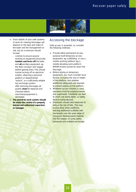

- Exact details of your safe systems of work for clearing blockages will depend on the type and make of the baler and the management on site, but as a minimum should include:
	- controls to ensure anyone working on equipment physically **isolates and locks off** the baler and **all** ancillary equipment, eg the feed conveyor and hogger, before gaining entry. This should involve locking off an electrical isolator, attaching a personal padlock or departmental 'isolock', or a sufficiently reliable key exchange system;
	- after removing blockages all quards **must** be replaced and checked before machinery/equipment is reinstated.
	- **The permit-to-work system should** be under the control of a properly **trained and authorised supervisor or manager**.

#### Accessing the blockage

Safe access is essential, so consider the following methods:

- Provide either permanent access, purpose-built temporary access equipment, eg scaffolding, or use a mobile working platform (eg a mobile elevating work platform (MEWP)/cherry picker) to reach the blockage.
- Before relying on temporary equipment, you must consider local factors, including the size or height of the platform, and whether additional safeguards are required to protect people on the platform.
- Whatever access solution is used, operators must be properly trained and supervised. Familiarity can lead to short cuts being taken, or safety devices being abused.
- Employers should take measures to reduce the risk of falls. This may involve drop-down platforms, erecting additional scaffolds with toe-boards over the open edge of conveyors feeding waste material into the hopper, or using safety harnesses and suitable anchorage.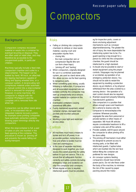## **9** Compactors

#### **Background**

Compactors compress recovered eventual recycling or disposal. They are often used on retail sites, and may therefore be accessible to the unsupervised public, in particular children.

Machines typically include a feed inlet, compaction chamber and outlet to a skip/container. The hopper can be loaded by hand, lift truck, an attached bin-tipping mechanism capable of lifting and tipping wheeled bins, or a conveyor system. A reciprocating ram compresses material under automatic or manual control into a skip/container (which is removed for emptying). However, in some machines, the compactor is integral with the container ('Portapack') and the complete unit is removed from site when full.

Compactors can be either stand-alone units, or incorporated into an integrated material recovery system, for example some printing companies have automatic extraction systems blowing paper trimmings directly into compactors.

When the skip/container is full, a pair of tubes or pins are inserted in the feed opening of the container. This procedure is known as 'pinning off' and prevents the waste falling out during transport.

#### *Risks*

- Falling or climbing into compaction chambers to retrieve or clear waste material, causing crush and amputation injuries from:
	- closing lids;
	- the main compaction ram or compression flap/lid (the ram can form shear traps);
	- 'pinning off' and 'barring'.
- When compactors, originally designed for use in a combined automated system, are used as stand-alone units, this allows access via the feed opening to dangerous parts.
- When something goes wrong, usually following a malfunction, if compactors and all associated equipment are not isolated correctly, the compactor may start up unexpectedly once sensors register material (or a person) in the chamber.
- Overloaded containers causing operational difficulties.
- Poorly maintained equipment, seized container clamps, damaged tube pockets and incorrect pressure settings.
- Working in poor light and restricted access areas.

#### *C o n t ro l s*

- All machines must have a means to isolate and lock off power, in an accessible position. Instructions on how and where to isolate must be clear and unambiguous.
- **In the case of separate machinery** designed to work together, you must assess the overall assembly for safety before it is put into service. This is to ensure that all safeguards function correctly and safety controls (including emergency stops and isolators) can stop the compactor and conveyors. Where regular access is required, interlocked quards must be provided,

eg for inspection ports, covers or doors enclosing adjustment mechanisms such as conveyor alignment/tensioning. The greater the risk of injury, the more dependable the interlocking system has to be. If a guard opening is big enough for a person to climb into the compaction chamber, the guard should be interlocked to a high standard.

- It should only be possible to start or restart equipment using the proper controls. Stoppages may be planned or accidental, eg operation of an emergency protection device. You should not be able to restart the equipment by resetting a protection device, eg an interlock, or by physical withdrawal from the area covered by a sensing device - the operation of a start control should also be required.
- Maintain equipment properly following manufacturer's quidance.
- Site compactors in a position that allows enough space and headroom for a vehicle to reverse onto the compactor to remove/replace the container. Wherever possible, segregate the area from personnel or provide barriers or other means of separation. NB Hook-lift vehicles require considerable headroom to lift a container onto and off the vehicle.
- Provide suitable, well-lit space around the compactor to allow pinning off to be done safely.
- The pinning off mechanism must either be designed to prevent access to moving parts, or be fitted with interlocked guards. Captive tubes which are inserted into the ram face before fitting the container are preferred for new designs.
- Air conveyor systems feeding compactors should have remote power packs. Do not site these under the body of the machine, to minimise the risk of fire caused by paper packing around the motor.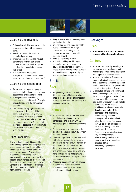

#### Guarding the drive unit

- Fully enclose all drive and power units to prevent contact with dangerous n arts.
- Restrict access to the machine to authorised people only.
- $\bullet$  Wherever possible, enclose internal components forming part of the compactor ram mechanism by fixed quarding that can only be removed with a tool.
- Make additional interlocking arrangements if guards are accessed regularly (typically on larger machines).

#### Guarding the inlet hopper

- Take measures to prevent people reaching into the danger zone to clear obstructions or clean the chamber.
- **Employers/users must identify** measures to control the risk of people falling/climbing into the compaction chamber.
- **Compactors fed by high-level chutes** or conveyor systems should be positioned, or enclosed, to prevent ready access, eg use an overhead conveyor to the feed inlet and enclose the hopper completely. The height of the hopper loading lid must conform to the minimum reach dimensions set out in BS EN 294.5

#### Stand-alone units

Where units are supplied/intended for stand-alone purposes (not integrated into an automated process) then additional safequards will be needed. Select the most suitable means of preventing access to dangerous parts using a risk assessment by the user, based on sitespecific circumstances, eg the location of the compactor and surrounding activities. Sometimes a combination of measures will be necessary to control the risk of injury. Examples include:

- fitting a narrow inlet (to prevent people getting into the unit);
- an extended loading chute so that lift trucks can load over the top (to prevent people standing on the compactor unit and compromising reach distances);
- fitting a safety trip/push bar;
- an interlocked hopper lid. Larger hopper lids should be powered or power-assisted for easier operation. These must also incorporate a suitable approved interlock to prevent injury and access to dangerous parts.

#### Bin lifts

#### *R i s k s*

● People being crushed or struck by the lifting mechanism (during operation) fitted to the side or end of compactors to raise, tip and lower the contents of a waste container bin.

#### *C o n t ro l s*

- **Enclose static compactors with fixed** guards to prevent access to the danger zone and fit them with an interlocked gate to position/remove the bin.
- Position the controls for opening the bin lift outside the enclosure away from the bin lift movement.
- **Controls for portable compactors fitted** with a tipper system should wherever practicable be 'hold to run'. Release of the controls at any time during the lifting cycle should stop the movement of all machinery immediately. Use twohand controls where there remains a risk of contact with moving parts of the mechanism
- Additional safeguards may be required to control the activity if machine operators cannot monitor/prevent people approaching the danger zone.

#### **Blockages**

#### *R i s k s*

● **Most serious and fatal accidents happen while clearing blockages**.

#### *Controls*

- Minimise blockages by ensuring the compactor is not overloaded and waste is pre-sorted before loading into the hopper or onto the conveyor.
- Make sure a written safe system of work for clearing blockages is in place and all operators have been trained to use it. Supervisors should periodically check that the system is followed.
- Exact details of your safe systems of work for clearing blockages will depend on the type and make of the compactor and the management on site, but as a minimum should include:
	- controls to ensure anyone working on equipment physically **isolates and locks off** the compactor and all ancillary equipment, eg the feed conveyor, before attempting to clear the blockage. This should involve locking off an electrical isolator, attaching a personal padlock or departmental 'isolock', or a sufficiently reliable key exchange system;
	- after removing blockages all guards **must** be replaced and checked before machinery/equipment is reinstated.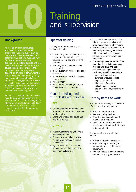

# and supervision

#### **Background**

As well as physical safeguards, employers must ensure that all employees, including supervisors and managers, have adequate health and safety training. Training methods vary for different people and jobs depending on existing abilities and the risks of the job. Remember there are several hazardous activities in the recovered paper industry where specific job training in safe systems of work is essential, eg operating baling machines and clearing blockages. Employers, managers and supervisors are legally responsible for maintaining a safe working environment and for identifying hazards or poor working practices and correcting them.

Employers, managers and supervisors need to know enough about health and safety to assess the training needs of individuals at regular intervals. Their commitment to health and safety should be spelt out in the company safety policy.

### Operator training

Training for operators should, as a minimum, include:

- how to carry out simple checks to ensure guards and other safety devices are in place and working properly;
- reporting defects and who they need to tell;
- a safe system of work for operating machines;
- a safe system of work for cleaning machines;
- what to wear:
- what to do in an emergency and fire and first-aid procedures.

#### Manual handling and musculoskeletal disorders

#### *Risks*

- Continual sorting of material over long periods can lead to repetitive strain injuries.
- Lifting and twisting can cause back and other injuries.

#### *Controls*

- Avoid musculoskeletal (MSD) risks wherever possible.
- **Encourage job rotation to relieve** monotony and reduce repetitive movements.
- **If job rotation can't be provided,** frequent breaks should be taken away from picking lines.
- Train staff to use mechanical aids where provided and train them in good manual-handling techniques.
- Provide alternatives to manual work wherever possible, eg move reels with clamp trucks and provide equipment to mechanically handle large loads.
- Ensure employees are aware of the kind of activities that can damage muscles and joints (the neck, shoulders and upper limbs are particularly at risk). These include:
	- poor working positions;
	- awkward or static postures;
	- high levels of force;
	- high levels of repetition;
	- difficult manual handling;
	- too much bending, stretching or effort.

#### Safe systems of work

You must have training in safe systems of work, which should include:

- Who should do the work.
- Required safety devices.
- What training, instruction and supervision is required.
- Details of the hazards identified and the correct method for the job to be completed.

The safe systems of work should include:

- Written instructions for the task.
- Signs warning of the dangers located at various points on the equipment.
- Regular checks to ensure that the system is working as designed.